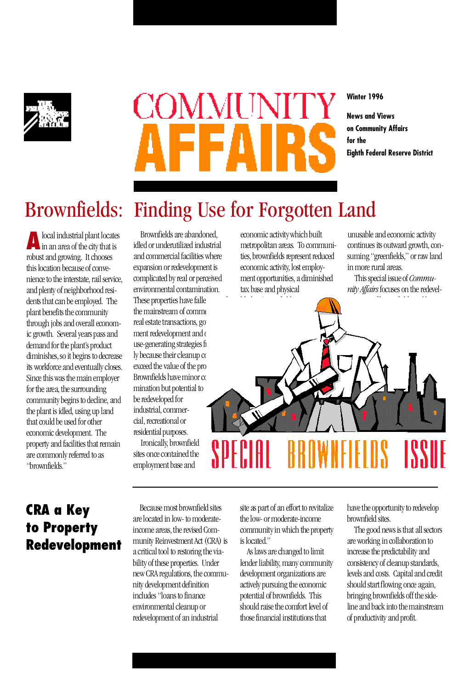

# COMMUNI

**Winter 1996**

**News and Views on Community Affairs for the Eighth Federal Reserve District**

# Brownfields: Finding Use for Forgotten Land

**A** local industrial plant locates in an area of the city that is robust and growing. It chooses this location because of convenience to the interstate, rail service, and plenty of neighborhood residents that can be employed. The plant benefits the community through jobs and overall economic growth. Several years pass and demand for the plant's product diminishes, so it begins to decrease its workforce and eventually closes. Since this was the main employer for the area, the surrounding community begins to decline, and the plant is idled, using up land that could be used for other economic development. The property and facilities that remain are commonly referred to as "brownfields."

Brownfields are abandoned, idled or underutilized industrial and commercial facilities where expansion or redevelopment is complicated by real or perceived environmental contamination. These properties have falle the mainstream of comme real estate transactions, gov ment redevelopment and o use-generating strategies fr ly because their cleanup  $\alpha$ exceed the value of the prop Brownfields have minor co mination but potential to be redeveloped for industrial, commercial, recreational or residential purposes.

Ironically, brownfield sites once contained the employment base and

economic activity which built metropolitan areas. To communities, brownfields represent reduced economic activity, lost employment opportunities, a diminished tax base and physical

unusable and economic activity continues its outward growth, consuming "greenfields," or raw land in more rural areas.

This special issue of *Community Affairs* focuses on the redevel-



### **CRA a Key to Property Redevelopment**

Because most brownfield sites are located in low- to moderateincome areas, the revised Community Reinvestment Act (CRA) is a critical tool to restoring the viability of these properties. Under new CRA regulations, the community development definition includes "loans to finance environmental cleanup or redevelopment of an industrial

site as part of an effort to revitalize the low- or moderate-income community in which the property is located."

As laws are changed to limit lender liability, many community development organizations are actively pursuing the economic potential of brownfields. This should raise the comfort level of those financial institutions that

have the opportunity to redevelop brownfield sites.

The good news is that all sectors are working in collaboration to increase the predictability and consistency of cleanup standards, levels and costs. Capital and credit should start flowing once again, bringing brownfields off the sideline and back into the mainstream of productivity and profit.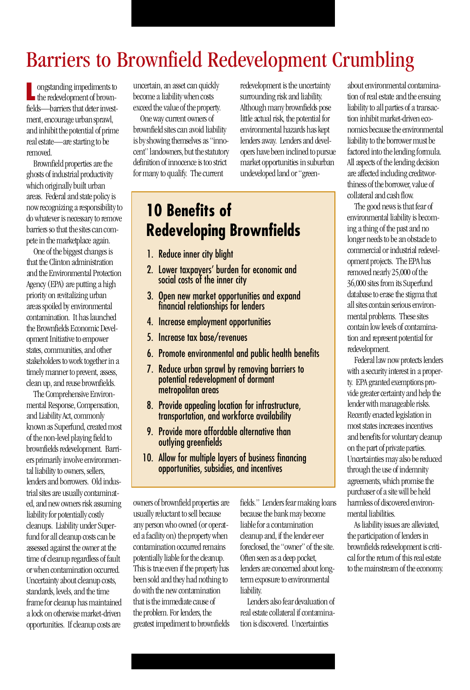# Barriers to Brownfield Redevelopment Crumbling

**L** ongstanding impediments to the redevelopment of brownthe redevelopment of brownfields—barriers that deter investment, encourage urban sprawl, and inhibit the potential of prime real estate—are starting to be removed.

Brownfield properties are the ghosts of industrial productivity which originally built urban areas. Federal and state policy is now recognizing a responsibility to do whatever is necessary to remove barriers so that the sites can compete in the marketplace again.

One of the biggest changes is that the Clinton administration and the Environmental Protection Agency (EPA) are putting a high priority on revitalizing urban areas spoiled by environmental contamination. It has launched the Brownfields Economic Development Initiative to empower states, communities, and other stakeholders to work together in a timely manner to prevent, assess, clean up, and reuse brownfields.

The Comprehensive Environmental Response, Compensation, and Liability Act, commonly known as Superfund, created most of the non-level playing field to brownfields redevelopment. Barriers primarily involve environmental liability to owners, sellers, lenders and borrowers. Old industrial sites are usually contaminated, and new owners risk assuming liability for potentially costly cleanups. Liability under Superfund for all cleanup costs can be assessed against the owner at the time of cleanup regardless of fault or when contamination occurred. Uncertainty about cleanup costs, standards, levels, and the time frame for cleanup has maintained a lock on otherwise market-driven opportunities. If cleanup costs are

uncertain, an asset can quickly become a liability when costs exceed the value of the property.

One way current owners of brownfield sites can avoid liability is by showing themselves as "innocent" landowners, but the statutory definition of innocence is too strict for many to qualify. The current

redevelopment is the uncertainty surrounding risk and liability. Although many brownfields pose little actual risk, the potential for environmental hazards has kept lenders away. Lenders and developers have been inclined to pursue market opportunities in suburban undeveloped land or "green-

## **10 Benefits of Redeveloping Brownfields**

- 1. Reduce inner city blight
- 2. Lower taxpayers' burden for economic and social costs of the inner city
- 3. Open new market opportunities and expand financial relationships for lenders
- 4. Increase employment opportunities
- 5. Increase tax base/revenues
- 6. Promote environmental and public health benefits
- 7. Reduce urban sprawl by removing barriers to potential redevelopment of dormant metropolitan areas
- 8. Provide appealing location for infrastructure, transportation, and workforce availability
- 9. Provide more affordable alternative than outlying greenfields
- 10. Allow for multiple layers of business financing opportunities, subsidies, and incentives

owners of brownfield properties are usually reluctant to sell because any person who owned (or operated a facility on) the property when contamination occurred remains potentially liable for the cleanup. This is true even if the property has been sold and they had nothing to do with the new contamination that is the immediate cause of the problem. For lenders, the greatest impediment to brownfields fields." Lenders fear making loans because the bank may become liable for a contamination cleanup and, if the lender ever foreclosed, the "owner" of the site. Often seen as a deep pocket, lenders are concerned about longterm exposure to environmental liability.

Lenders also fear devaluation of real estate collateral if contamination is discovered. Uncertainties

about environmental contamination of real estate and the ensuing liability to all parties of a transaction inhibit market-driven economics because the environmental liability to the borrower must be factored into the lending formula. All aspects of the lending decision are affected including creditworthiness of the borrower, value of collateral and cash flow.

The good news is that fear of environmental liability is becoming a thing of the past and no longer needs to be an obstacle to commercial or industrial redevelopment projects. The EPA has removed nearly 25,000 of the 36,000 sites from its Superfund database to erase the stigma that all sites contain serious environmental problems. These sites contain low levels of contamination and represent potential for redevelopment.

Federal law now protects lenders with a security interest in a property. EPA granted exemptions provide greater certainty and help the lender with manageable risks. Recently enacted legislation in most states increases incentives and benefits for voluntary cleanup on the part of private parties. Uncertainties may also be reduced through the use of indemnity agreements, which promise the purchaser of a site will be held harmless of discovered environmental liabilities.

As liability issues are alleviated, the participation of lenders in brownfields redevelopment is critical for the return of this real estate to the mainstream of the economy.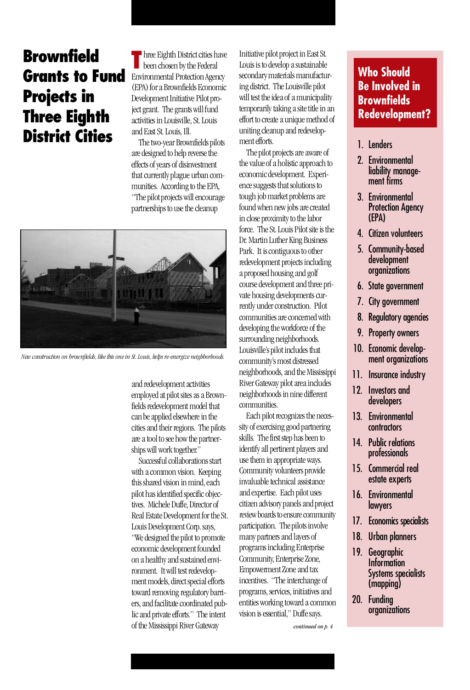## **Brownfield Grants to Fund Projects in Three Eighth District Cities**

**T** hree Eighth District cities have been chosen by the Federal Environmental Protection Agency (EPA) for a Brownfields Economic Development Initiative Pilot project grant. The grants will fund activities in Louisville, St. Louis and East St. Louis, Ill.

The two-year Brownfields pilots are designed to help reverse the effects of years of disinvestment that currently plague urban communities. According to the EPA, "The pilot projects will encourage partnerships to use the cleanup



*New construction on brownfields, like this one in St. Louis, helps re-energize neighborhoods.*

and redevelopment activities employed at pilot sites as a Brownfields redevelopment model that can be applied elsewhere in the cities and their regions. The pilots are a tool to see how the partnerships will work together."

Successful collaborations start with a common vision. Keeping this shared vision in mind, each pilot has identified specific objectives. Michele Duffe, Director of Real Estate Development for the St. Louis Development Corp. says, " We designed the pilot to promote economic development founded on a healthy and sustained environment. It will test redevelopment models, direct special efforts toward removing regulatory barriers, and facilitate coordinated public and private efforts." The intent of the Mississippi River Gateway

Initiative pilot project in East St. Louis is to develop a sustainable secondary materials manufacturing district. The Louisville pilot will test the idea of a municipality temporarily taking a site title in an effort to create a unique method of uniting cleanup and redevelopment efforts.

The pilot projects are aware of the value of a holistic approach to economic development. Experience suggests that solutions to tough job market problems are found when new jobs are created in close proximity to the labor force. The St. Louis Pilot site is the Dr. Martin Luther King Business Park. It is contiguous to other redevelopment projects including a proposed housing and golf course development and three private housing developments currently under construction. Pilot communities are concerned with developing the workforce of the surrounding neighborhoods. Louisville's pilot includes that community's most distressed neighborhoods, and the Mississippi River Gateway pilot area includes neighborhoods in nine different communities.

Each pilot recognizes the necessity of exercising good partnering skills. The first step has been to identify all pertinent players and use them in appropriate ways. Community volunteers provide invaluable technical assistance and expertise. Each pilot uses citizen advisory panels and project review boards to ensure community participation. The pilots involve many partners and layers of programs including Enterprise Community, Enterprise Zone, Empowerment Zone and tax incentives. "The interchange of programs, services, initiatives and entities working toward a common vision is essential," Duffe says.

*continued on p. 4*

#### **Who Should Be Involved in Brownfields Redevelopment?**

#### 1. Lenders

- 2. Environmental liability management firms
- 3. Environmental Protection Agency ( E PA )
- 4. Citizen volunteers
- 5. Community-based development organizations
- **6.** State government
- 7. City government
- 8. Regulatory agencies
- 9. Property owners
- 10. Economic development organizations
- 11. Insurance industry
- 12. Investors and de velopers
- 13. Environmental contractors
- 14. Public relations professionals
- 15. Commercial real estate experts
- 16. Environmental l aw yers
- 17. Economics specialists
- 18. Urban planners
- 19. Geographic **Information** Systems specialists  $(mapping)$
- 20. Funding organizations